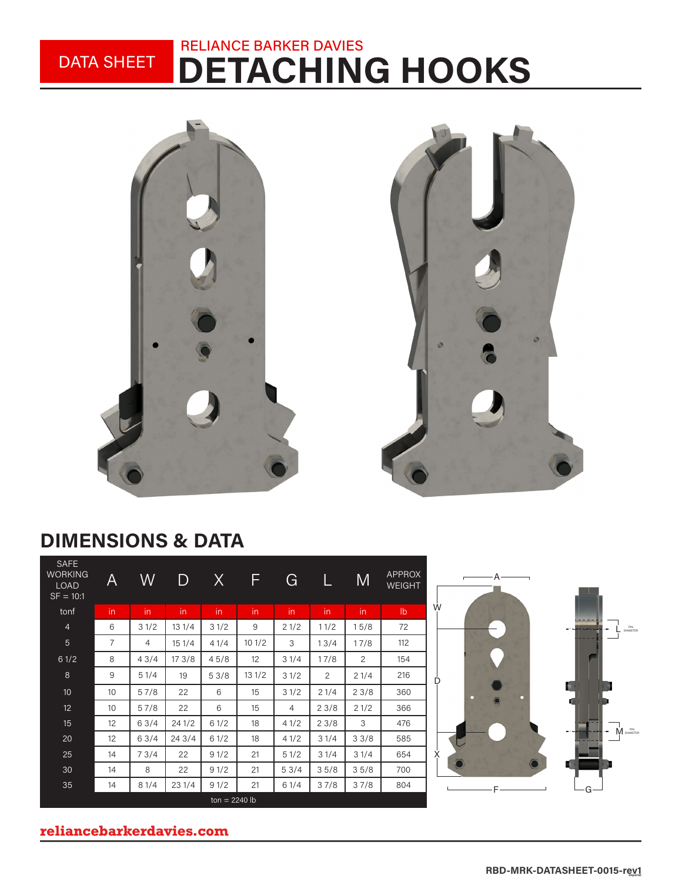### DETACHING HOOKS RELIANCE BARKER DAVIES DATA SHEET



## DIMENSIONS & DATA

| <b>SAFE</b><br><b>WORKING</b><br><b>LOAD</b><br>$SF = 10:1$ | A              | W    | D      | X    | F     | G    | L    | M    | <b>APPROX</b><br><b>WEIGHT</b> | $\Gamma$ |
|-------------------------------------------------------------|----------------|------|--------|------|-------|------|------|------|--------------------------------|----------|
| tonf                                                        | in.            | in   | in.    | in.  | in    | in   | in   | in.  | $\mathsf{lb}$                  | Ŵ        |
| $\overline{4}$                                              | 6              | 31/2 | 131/4  | 31/2 | 9     | 21/2 | 11/2 | 15/8 | 72                             |          |
| 5                                                           | $\overline{7}$ | 4    | 151/4  | 41/4 | 101/2 | 3    | 13/4 | 17/8 | 112                            |          |
| 61/2                                                        | 8              | 43/4 | 173/8  | 45/8 | 12    | 31/4 | 17/8 | 2    | 154                            |          |
| 8                                                           | 9              | 51/4 | 19     | 53/8 | 131/2 | 31/2 | 2    | 21/4 | 216                            | D        |
| 10                                                          | 10             | 57/8 | 22     | 6    | 15    | 31/2 | 21/4 | 23/8 | 360                            |          |
| 12                                                          | 10             | 57/8 | 22     | 6    | 15    | 4    | 23/8 | 21/2 | 366                            |          |
| 15                                                          | 12             | 63/4 | 241/2  | 61/2 | 18    | 41/2 | 23/8 | 3    | 476                            |          |
| 20                                                          | 12             | 63/4 | 24 3/4 | 61/2 | 18    | 41/2 | 31/4 | 33/8 | 585                            |          |
| 25                                                          | 14             | 73/4 | 22     | 91/2 | 21    | 51/2 | 31/4 | 31/4 | 654                            | X        |
| 30                                                          | 14             | 8    | 22     | 91/2 | 21    | 53/4 | 35/8 | 35/8 | 700                            |          |
| 35                                                          | 14             | 81/4 | 231/4  | 91/2 | 21    | 61/4 | 37/8 | 37/8 | 804                            |          |
| $ton = 2240 lb$                                             |                |      |        |      |       |      |      |      |                                |          |



#### **reliancebarkerdavies.com**